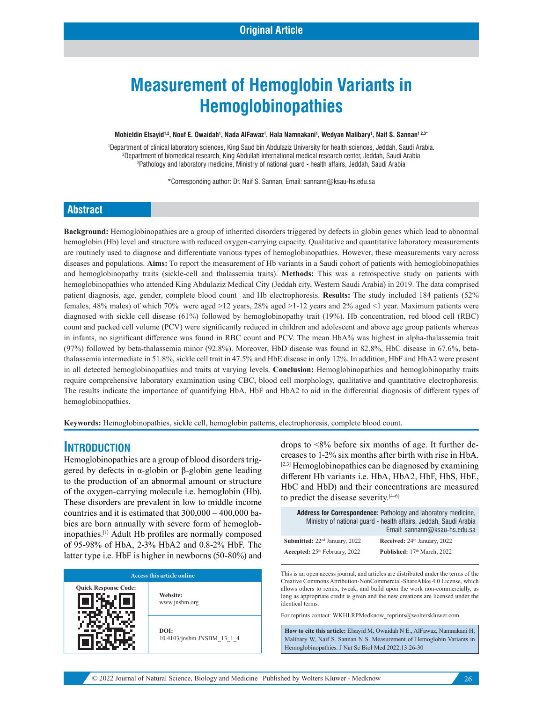# **Measurement of Hemoglobin Variants in Hemoglobinopathies**

 $\blacksquare$ Mohieldin Elsayid<sup>1,2</sup>, Nouf E. Owaidah<sup>1</sup>, Nada AlFawaz<sup>1</sup>, Hala Namnakani<sup>1</sup>, Wedyan Malibary<sup>1</sup>, Naif S. Sannan<sup>1,2,3</sup>\*

1 Department of clinical laboratory sciences, King Saud bin Abdulaziz University for health sciences, Jeddah, Saudi Arabia. 2 Department of biomedical research, King Abdullah international medical research center, Jeddah, Saudi Arabia 3 Pathology and laboratory medicine, Ministry of national guard - health affairs, Jeddah, Saudi Arabia

\*Corresponding author: Dr. Naif S. Sannan, Email: sannann@ksau-hs.edu.sa

#### **Abstract**

**Background:** Hemoglobinopathies are a group of inherited disorders triggered by defects in globin genes which lead to abnormal hemoglobin (Hb) level and structure with reduced oxygen-carrying capacity. Qualitative and quantitative laboratory measurements are routinely used to diagnose and differentiate various types of hemoglobinopathies. However, these measurements vary across diseases and populations. **Aims:** To report the measurement of Hb variants in a Saudi cohort of patients with hemoglobinopathies and hemoglobinopathy traits (sickle-cell and thalassemia traits). **Methods:** This was a retrospective study on patients with hemoglobinopathies who attended King Abdulaziz Medical City (Jeddah city, Western Saudi Arabia) in 2019. The data comprised patient diagnosis, age, gender, complete blood count and Hb electrophoresis. **Results:** The study included 184 patients (52% females, 48% males) of which 70% were aged >12 years, 28% aged >1-12 years and 2% aged <1 year. Maximum patients were diagnosed with sickle cell disease (61%) followed by hemoglobinopathy trait (19%). Hb concentration, red blood cell (RBC) count and packed cell volume (PCV) were significantly reduced in children and adolescent and above age group patients whereas in infants, no significant difference was found in RBC count and PCV. The mean HbA% was highest in alpha-thalassemia trait (97%) followed by beta-thalassemia minor (92.8%). Moreover, HbD disease was found in 82.8%, HbC disease in 67.6%, betathalassemia intermediate in 51.8%, sickle cell trait in 47.5% and HbE disease in only 12%. In addition, HbF and HbA2 were present in all detected hemoglobinopathies and traits at varying levels. **Conclusion:** Hemoglobinopathies and hemoglobinopathy traits require comprehensive laboratory examination using CBC, blood cell morphology, qualitative and quantitative electrophoresis. The results indicate the importance of quantifying HbA, HbF and HbA2 to aid in the differential diagnosis of different types of hemoglobinopathies.

**Keywords:** Hemoglobinopathies, sickle cell, hemoglobin patterns, electrophoresis, complete blood count.

#### **INTRODUCTION**

Hemoglobinopathies are a group of blood disorders triggered by defects in α-globin or β-globin gene leading to the production of an abnormal amount or structure of the oxygen-carrying molecule i.e. hemoglobin (Hb). These disorders are prevalent in low to middle income countries and it is estimated that 300,000 – 400,000 babies are born annually with severe form of hemoglobinopathies.[1] Adult Hb profiles are normally composed of 95-98% of HbA, 2-3% HbA2 and 0.8-2% HbF. The latter type i.e. HbF is higher in newborns (50-80%) and



drops to <8% before six months of age. It further decreases to 1-2% six months after birth with rise in HbA.  $[2,3]$  Hemoglobinopathies can be diagnosed by examining different Hb variants i.e. HbA, HbA2, HbF, HbS, HbE, HbC and HbD) and their concentrations are measured to predict the disease severity.[4-6]

| <b>Address for Correspondence:</b> Pathology and laboratory medicine,<br>Ministry of national quard - health affairs, Jeddah, Saudi Arabia |                                          |  |  |  |  |  |
|--------------------------------------------------------------------------------------------------------------------------------------------|------------------------------------------|--|--|--|--|--|
|                                                                                                                                            | Email: sannann@ksau-hs.edu.sa            |  |  |  |  |  |
| Submitted: 22 <sup>nd</sup> January, 2022                                                                                                  | Received: 24 <sup>th</sup> January, 2022 |  |  |  |  |  |
| Accepted: 25 <sup>th</sup> February, 2022                                                                                                  | Published: 17 <sup>th</sup> March, 2022  |  |  |  |  |  |

This is an open access journal, and articles are distributed under the terms of the Creative Commons Attribution‑NonCommercial‑ShareAlike 4.0 License, which allows others to remix, tweak, and build upon the work non‑commercially, as long as appropriate credit is given and the new creations are licensed under the identical terms.

For reprints contact: WKHLRPMedknow\_reprints@wolterskluwer.com

**How to cite this article:** Elsayid M, Owaidah N E., AlFawaz, Namnakani H, Malibary W, Naif S. Sannan N S. Measurement of Hemoglobin Variants in Hemoglobinopathies. J Nat Sc Biol Med 2022;13:26-30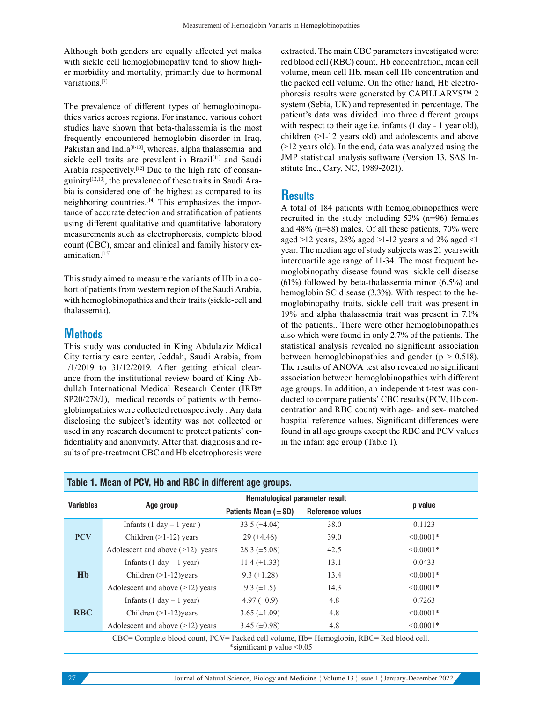Although both genders are equally affected yet males with sickle cell hemoglobinopathy tend to show higher morbidity and mortality, primarily due to hormonal variations.[7]

The prevalence of different types of hemoglobinopathies varies across regions. For instance, various cohort studies have shown that beta-thalassemia is the most frequently encountered hemoglobin disorder in Iraq, Pakistan and India<sup>[8-10]</sup>, whereas, alpha thalassemia and sickle cell traits are prevalent in Brazil<sup>[11]</sup> and Saudi Arabia respectively.[12] Due to the high rate of consanguinity[12,13], the prevalence of these traits in Saudi Arabia is considered one of the highest as compared to its neighboring countries.[14] This emphasizes the importance of accurate detection and stratification of patients using different qualitative and quantitative laboratory measurements such as electrophoresis, complete blood count (CBC), smear and clinical and family history examination.[15]

This study aimed to measure the variants of Hb in a cohort of patients from western region of the Saudi Arabia, with hemoglobinopathies and their traits (sickle-cell and thalassemia).

### **Methods**

This study was conducted in King Abdulaziz Mdical City tertiary care center, Jeddah, Saudi Arabia, from 1/1/2019 to 31/12/2019. After getting ethical clearance from the institutional review board of King Abdullah International Medical Research Center (IRB# SP20/278/J), medical records of patients with hemoglobinopathies were collected retrospectively . Any data disclosing the subject's identity was not collected or used in any research document to protect patients' confidentiality and anonymity. After that, diagnosis and results of pre-treatment CBC and Hb electrophoresis were

extracted. The main CBC parameters investigated were: red blood cell (RBC) count, Hb concentration, mean cell volume, mean cell Hb, mean cell Hb concentration and the packed cell volume. On the other hand, Hb electrophoresis results were generated by CAPILLARYS™ 2 system (Sebia, UK) and represented in percentage. The patient's data was divided into three different groups with respect to their age i.e. infants (1 day - 1 year old), children (>1-12 years old) and adolescents and above (>12 years old). In the end, data was analyzed using the JMP statistical analysis software (Version 13. SAS Institute Inc., Cary, NC, 1989-2021).

## **Results**

A total of 184 patients with hemoglobinopathies were recruited in the study including 52% (n=96) females and 48% (n=88) males. Of all these patients, 70% were aged >12 years, 28% aged >1-12 years and 2% aged <1 year. The median age of study subjects was 21 yearswith interquartile age range of 11-34. The most frequent hemoglobinopathy disease found was sickle cell disease (61%) followed by beta-thalassemia minor (6.5%) and hemoglobin SC disease (3.3%). With respect to the hemoglobinopathy traits, sickle cell trait was present in 19% and alpha thalassemia trait was present in 7.1% of the patients.. There were other hemoglobinopathies also which were found in only 2.7% of the patients. The statistical analysis revealed no significant association between hemoglobinopathies and gender ( $p > 0.518$ ). The results of ANOVA test also revealed no significant association between hemoglobinopathies with different age groups. In addition, an independent t-test was conducted to compare patients' CBC results (PCV, Hb concentration and RBC count) with age- and sex- matched hospital reference values. Significant differences were found in all age groups except the RBC and PCV values in the infant age group (Table 1).

| <b>Variables</b> |                                            | <b>Hematological parameter result</b> |                         |                |
|------------------|--------------------------------------------|---------------------------------------|-------------------------|----------------|
|                  | Age group                                  | Patients Mean $(\pm SD)$              | <b>Reference values</b> | p value        |
|                  | Infants $(1 day - 1 year)$                 | 33.5 $(\pm 4.04)$                     | 38.0                    | 0.1123         |
| <b>PCV</b>       | Children $(>1-12)$ years                   | $29 \ (\pm 4.46)$                     | 39.0                    | $\leq 0.0001*$ |
|                  | Adolescent and above $(>12)$ years         | $28.3 \ (\pm 5.08)$                   | 42.5                    | $\leq 0.0001*$ |
| Hb               | Infants $(1 day - 1 year)$                 | 11.4 $(\pm 1.33)$                     | 13.1                    | 0.0433         |
|                  | Children $(>1-12)$ years                   | 9.3 $(\pm 1.28)$                      | 13.4                    | $\leq 0.0001*$ |
|                  | Adolescent and above $(>12)$ years         | 9.3 $(\pm 1.5)$                       | 14.3                    | $\leq 0.0001*$ |
| <b>RBC</b>       | Infants $(1 \text{ day} - 1 \text{ year})$ | 4.97 $(\pm 0.9)$                      | 4.8                     | 0.7263         |
|                  | Children $(>1-12)$ years                   | 3.65 $(\pm 1.09)$                     | 4.8                     | $\leq 0.0001*$ |
|                  | Adolescent and above $(>12)$ years         | 3.45 $(\pm 0.98)$                     | 4.8                     | $\leq 0.0001*$ |

#### \*significant p value <0.05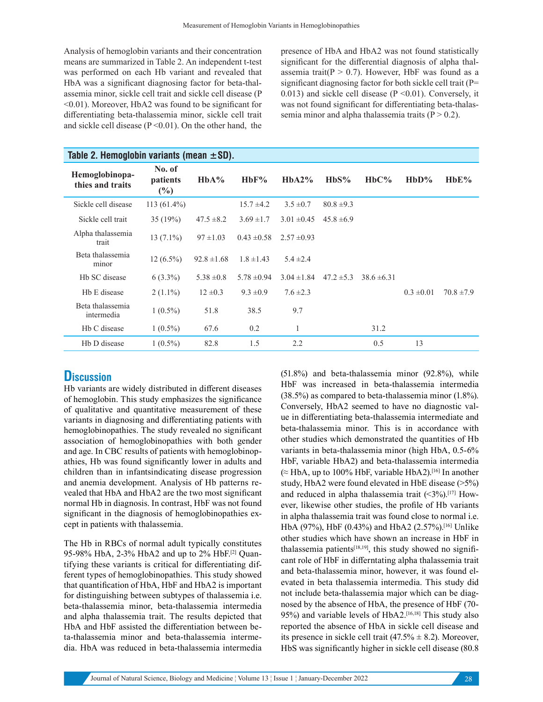Analysis of hemoglobin variants and their concentration means are summarized in Table 2. An independent t-test was performed on each Hb variant and revealed that HbA was a significant diagnosing factor for beta-thalassemia minor, sickle cell trait and sickle cell disease (P <0.01). Moreover, HbA2 was found to be significant for differentiating beta-thalassemia minor, sickle cell trait and sickle cell disease ( $P \le 0.01$ ). On the other hand, the

presence of HbA and HbA2 was not found statistically significant for the differential diagnosis of alpha thalassemia trait( $P > 0.7$ ). However, HbF was found as a significant diagnosing factor for both sickle cell trait (P= 0.013) and sickle cell disease  $(P \le 0.01)$ . Conversely, it was not found significant for differentiating beta-thalassemia minor and alpha thalassemia traits  $(P > 0.2)$ .

| Table 2. Hemoglobin variants (mean $\pm$ SD). |                           |                 |                 |                 |                |                 |                |                |
|-----------------------------------------------|---------------------------|-----------------|-----------------|-----------------|----------------|-----------------|----------------|----------------|
| Hemoglobinopa-<br>thies and traits            | No. of<br>patients<br>(%) | $HbA\%$         | HbF%            | HbA2%           | HbS%           | $HbC\%$         | HbD%           | HbE%           |
| Sickle cell disease                           | $113(61.4\%)$             |                 | $15.7 \pm 4.2$  | $3.5 \pm 0.7$   | $80.8 \pm 9.3$ |                 |                |                |
| Sickle cell trait                             | 35(19%)                   | $47.5 \pm 8.2$  | $3.69 \pm 1.7$  | $3.01 \pm 0.45$ | $45.8 \pm 6.9$ |                 |                |                |
| Alpha thalassemia<br>trait                    | $13(7.1\%)$               | $97 \pm 1.03$   | $0.43 \pm 0.58$ | $2.57 \pm 0.93$ |                |                 |                |                |
| Beta thalassemia<br>minor                     | $12(6.5\%)$               | $92.8 \pm 1.68$ | $1.8 \pm 1.43$  | $5.4 \pm 2.4$   |                |                 |                |                |
| Hb SC disease                                 | $6(3.3\%)$                | $5.38 \pm 0.8$  | $5.78 \pm 0.94$ | $3.04 \pm 1.84$ | $47.2 \pm 5.3$ | $38.6 \pm 6.31$ |                |                |
| Hb E disease                                  | $2(1.1\%)$                | $12 \pm 0.3$    | $9.3 \pm 0.9$   | $7.6 \pm 2.3$   |                |                 | $0.3 \pm 0.01$ | $70.8 \pm 7.9$ |
| Beta thalassemia<br>intermedia                | $1(0.5\%)$                | 51.8            | 38.5            | 9.7             |                |                 |                |                |
| Hb C disease                                  | $1(0.5\%)$                | 67.6            | 0.2             | 1               |                | 31.2            |                |                |
| Hb D disease                                  | $1(0.5\%)$                | 82.8            | 1.5             | 2.2             |                | 0.5             | 13             |                |

#### **Discussion**

Hb variants are widely distributed in different diseases of hemoglobin. This study emphasizes the significance of qualitative and quantitative measurement of these variants in diagnosing and differentiating patients with hemoglobinopathies. The study revealed no significant association of hemoglobinopathies with both gender and age. In CBC results of patients with hemoglobinopathies, Hb was found significantly lower in adults and children than in infantsindicating disease progression and anemia development. Analysis of Hb patterns revealed that HbA and HbA2 are the two most significant normal Hb in diagnosis. In contrast, HbF was not found significant in the diagnosis of hemoglobinopathies except in patients with thalassemia.

The Hb in RBCs of normal adult typically constitutes 95-98% HbA, 2-3% HbA2 and up to 2% HbF.[2] Quantifying these variants is critical for differentiating different types of hemoglobinopathies. This study showed that quantification of HbA, HbF and HbA2 is important for distinguishing between subtypes of thalassemia i.e. beta-thalassemia minor, beta-thalassemia intermedia and alpha thalassemia trait. The results depicted that HbA and HbF assisted the differentiation between beta-thalassemia minor and beta-thalassemia intermedia. HbA was reduced in beta-thalassemia intermedia (51.8%) and beta-thalassemia minor (92.8%), while HbF was increased in beta-thalassemia intermedia (38.5%) as compared to beta-thalassemia minor (1.8%). Conversely, HbA2 seemed to have no diagnostic value in differentiating beta-thalassemia intermediate and beta-thalassemia minor. This is in accordance with other studies which demonstrated the quantities of Hb variants in beta-thalassemia minor (high HbA, 0.5-6% HbF, variable HbA2) and beta-thalassemia intermedia  $\approx$  HbA, up to 100% HbF, variable HbA2).<sup>[16]</sup> In another study, HbA2 were found elevated in HbE disease (>5%) and reduced in alpha thalassemia trait  $(\leq 3\%)$ .[17] However, likewise other studies, the profile of Hb variants in alpha thalassemia trait was found close to normal i.e. HbA (97%), HbF (0.43%) and HbA2 (2.57%).[16] Unlike other studies which have shown an increase in HbF in thalassemia patients<sup>[18,19]</sup>, this study showed no significant role of HbF in differntating alpha thalassemia trait and beta-thalassemia minor, however, it was found elevated in beta thalassemia intermedia. This study did not include beta-thalassemia major which can be diagnosed by the absence of HbA, the presence of HbF (70- 95%) and variable levels of HbA2.[16,18] This study also reported the absence of HbA in sickle cell disease and its presence in sickle cell trait  $(47.5\% \pm 8.2)$ . Moreover, HbS was significantly higher in sickle cell disease (80.8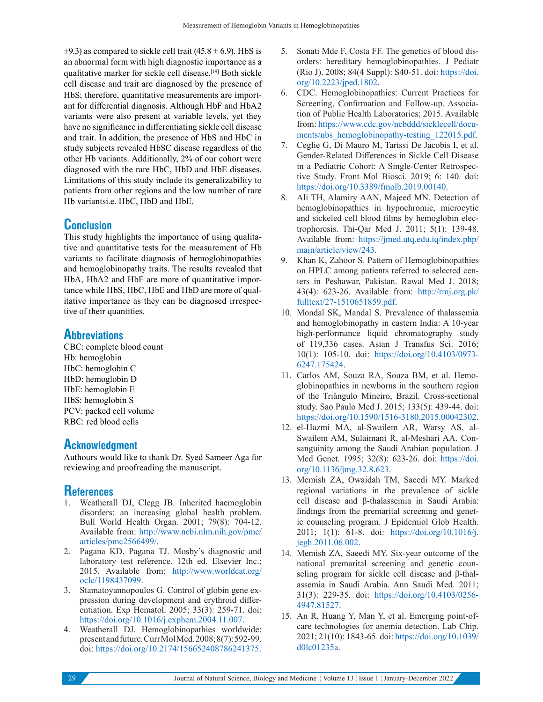$\pm$ 9.3) as compared to sickle cell trait (45.8  $\pm$  6.9). HbS is an abnormal form with high diagnostic importance as a qualitative marker for sickle cell disease.<sup>[19]</sup> Both sickle cell disease and trait are diagnosed by the presence of HbS; therefore, quantitative measurements are important for differential diagnosis. Although HbF and HbA2 variants were also present at variable levels, yet they have no significance in differentiating sickle cell disease and trait. In addition, the presence of HbS and HbC in study subjects revealed HbSC disease regardless of the other Hb variants. Additionally, 2% of our cohort were diagnosed with the rare HbC, HbD and HbE diseases. Limitations of this study include its generalizability to patients from other regions and the low number of rare Hb variantsi.e. HbC, HbD and HbE.

## **Conclusion**

This study highlights the importance of using qualitative and quantitative tests for the measurement of Hb variants to facilitate diagnosis of hemoglobinopathies and hemoglobinopathy traits. The results revealed that HbA, HbA2 and HbF are more of quantitative importance while HbS, HbC, HbE and HbD are more of qualitative importance as they can be diagnosed irrespective of their quantities.

## **Abbreviations**

CBC: complete blood count Hb: hemoglobin HbC: hemoglobin C HbD: hemoglobin D HbE: hemoglobin E HbS: hemoglobin S PCV: packed cell volume RBC: red blood cells

## **Acknowledgment**

Authours would like to thank Dr. Syed Sameer Aga for reviewing and proofreading the manuscript.

## **References**

- 1. Weatherall DJ, Clegg JB. Inherited haemoglobin disorders: an increasing global health problem. Bull World Health Organ. 2001; 79(8): 704-12. Available from: http://www.ncbi.nlm.nih.gov/pmc/ articles/pmc2566499/.
- 2. Pagana KD, Pagana TJ. Mosby's diagnostic and laboratory test reference. 12th ed. Elsevier Inc.; 2015. Available from: http://www.worldcat.org/ oclc/1198437099.
- 3. Stamatoyannopoulos G. Control of globin gene expression during development and erythroid differentiation. Exp Hematol. 2005; 33(3): 259-71. doi: https://doi.org/10.1016/j.exphem.2004.11.007.
- 4. Weatherall DJ. Hemoglobinopathies worldwide: present and future. Curr Mol Med. 2008; 8(7): 592-99. doi: https://doi.org/10.2174/156652408786241375.
- 5. Sonati Mde F, Costa FF. The genetics of blood disorders: hereditary hemoglobinopathies. J Pediatr (Rio J). 2008; 84(4 Suppl): S40-51. doi: https://doi. org/10.2223/jped.1802.
- 6. CDC. Hemoglobinopathies: Current Practices for Screening, Confirmation and Follow-up. Association of Public Health Laboratories; 2015. Available from: https://www.cdc.gov/ncbddd/sicklecell/documents/nbs\_hemoglobinopathy-testing\_122015.pdf.
- 7. Ceglie G, Di Mauro M, Tarissi De Jacobis I, et al. Gender-Related Differences in Sickle Cell Disease in a Pediatric Cohort: A Single-Center Retrospective Study. Front Mol Biosci. 2019; 6: 140. doi: https://doi.org/10.3389/fmolb.2019.00140.
- 8. Ali TH, Alamiry AAN, Majeed MN. Detection of hemoglobinopathies in hypochromic, microcytic and sickeled cell blood films by hemoglobin electrophoresis. Thi-Qar Med J. 2011; 5(1): 139-48. Available from: https://jmed.utq.edu.iq/index.php/ main/article/view/243.
- 9. Khan K, Zahoor S. Pattern of Hemoglobinopathies on HPLC among patients referred to selected centers in Peshawar, Pakistan. Rawal Med J. 2018; 43(4): 623-26. Available from: http://rmj.org.pk/ fulltext/27-1510651859.pdf.
- 10. Mondal SK, Mandal S. Prevalence of thalassemia and hemoglobinopathy in eastern India: A 10-year high-performance liquid chromatography study of 119,336 cases. Asian J Transfus Sci. 2016; 10(1): 105-10. doi: https://doi.org/10.4103/0973- 6247.175424.
- 11. Carlos AM, Souza RA, Souza BM, et al. Hemoglobinopathies in newborns in the southern region of the Triângulo Mineiro, Brazil. Cross-sectional study. Sao Paulo Med J. 2015; 133(5): 439-44. doi: https://doi.org/10.1590/1516-3180.2015.00042302.
- 12. el-Hazmi MA, al-Swailem AR, Warsy AS, al-Swailem AM, Sulaimani R, al-Meshari AA. Consanguinity among the Saudi Arabian population. J Med Genet. 1995; 32(8): 623-26. doi: https://doi. org/10.1136/jmg.32.8.623.
- 13. Memish ZA, Owaidah TM, Saeedi MY. Marked regional variations in the prevalence of sickle cell disease and β-thalassemia in Saudi Arabia: findings from the premarital screening and genetic counseling program. J Epidemiol Glob Health. 2011; 1(1): 61-8. doi: https://doi.org/10.1016/j. jegh.2011.06.002.
- 14. Memish ZA, Saeedi MY. Six-year outcome of the national premarital screening and genetic counseling program for sickle cell disease and β-thalassemia in Saudi Arabia. Ann Saudi Med. 2011; 31(3): 229-35. doi: https://doi.org/10.4103/0256- 4947.81527.
- 15. An R, Huang Y, Man Y, et al. Emerging point-ofcare technologies for anemia detection. Lab Chip. 2021; 21(10): 1843-65. doi: https://doi.org/10.1039/ d0lc01235a.